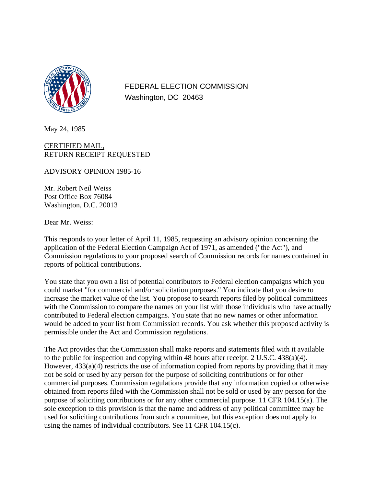

FEDERAL ELECTION COMMISSION Washington, DC 20463

May 24, 1985

## CERTIFIED MAIL, RETURN RECEIPT REQUESTED

ADVISORY OPINION 1985-16

Mr. Robert Neil Weiss Post Office Box 76084 Washington, D.C. 20013

Dear Mr. Weiss:

This responds to your letter of April 11, 1985, requesting an advisory opinion concerning the application of the Federal Election Campaign Act of 1971, as amended ("the Act"), and Commission regulations to your proposed search of Commission records for names contained in reports of political contributions.

You state that you own a list of potential contributors to Federal election campaigns which you could market "for commercial and/or solicitation purposes." You indicate that you desire to increase the market value of the list. You propose to search reports filed by political committees with the Commission to compare the names on your list with those individuals who have actually contributed to Federal election campaigns. You state that no new names or other information would be added to your list from Commission records. You ask whether this proposed activity is permissible under the Act and Commission regulations.

The Act provides that the Commission shall make reports and statements filed with it available to the public for inspection and copying within 48 hours after receipt. 2 U.S.C. 438(a)(4). However,  $433(a)(4)$  restricts the use of information copied from reports by providing that it may not be sold or used by any person for the purpose of soliciting contributions or for other commercial purposes. Commission regulations provide that any information copied or otherwise obtained from reports filed with the Commission shall not be sold or used by any person for the purpose of soliciting contributions or for any other commercial purpose. 11 CFR 104.15(a). The sole exception to this provision is that the name and address of any political committee may be used for soliciting contributions from such a committee, but this exception does not apply to using the names of individual contributors. See 11 CFR 104.15(c).